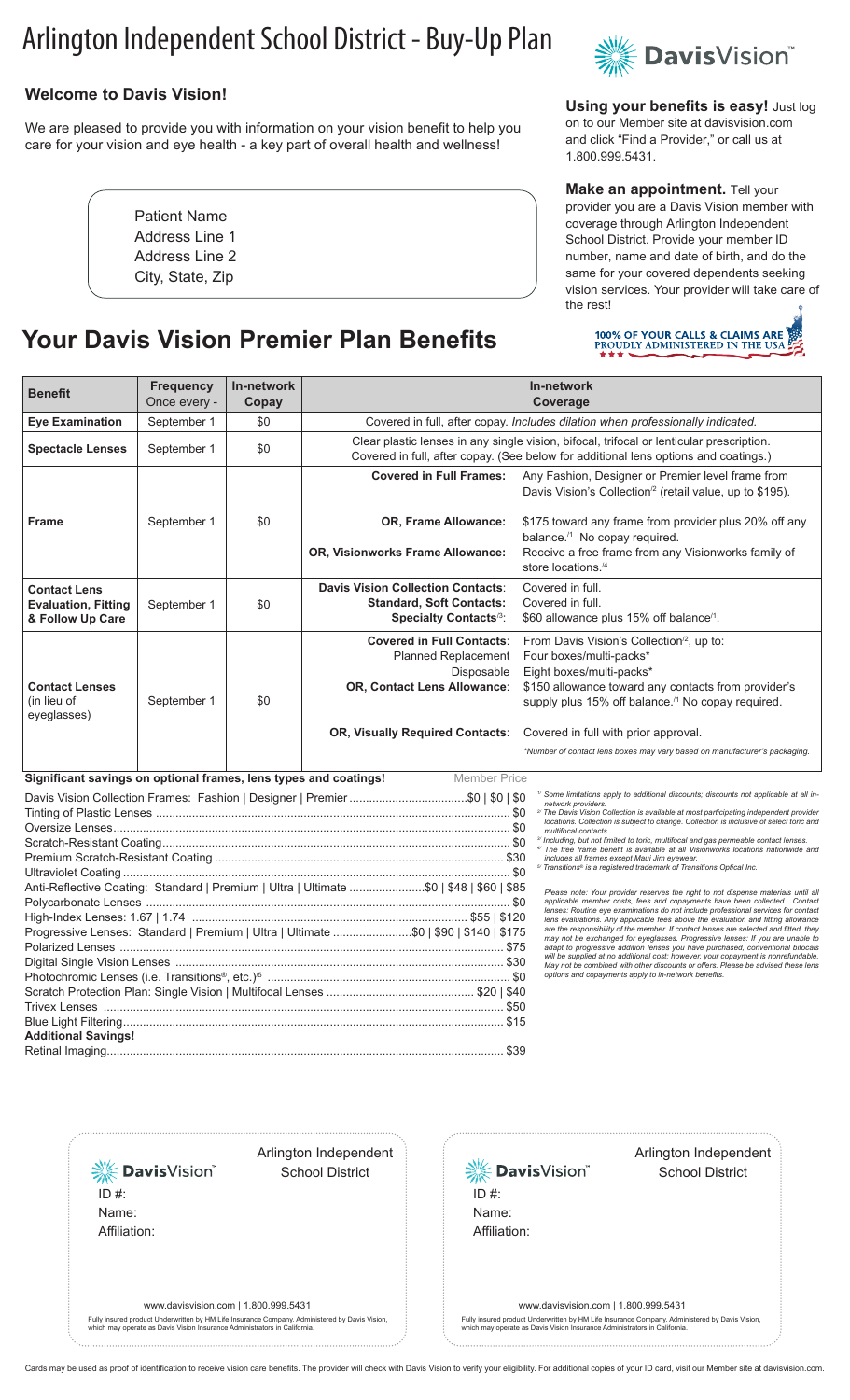# Arlington Independent School District - Buy-Up Plan

## **Welcome to Davis Vision!**

We are pleased to provide you with information on your vision benefit to help you care for your vision and eye health - a key part of overall health and wellness!

> Patient Name Address Line 1 Address Line 2 City, State, Zip

## **Your Davis Vision Premier Plan Benefits**



**Using your benefits is easy!** Just log on to our Member site at davisvision.com and click "Find a Provider," or call us at 1.800.999.5431.

#### **Make an appointment.** Tell your provider you are a Davis Vision member with coverage through Arlington Independent School District. Provide your member ID number, name and date of birth, and do the same for your covered dependents seeking vision services. Your provider will take care of the rest!



| <b>Benefit</b>                                                                                                                                                                               | <b>Frequency</b><br>Once every - | In-network<br>Copay | In-network<br>Coverage                                                                                                                                                          |                                                                                                                                                                           |
|----------------------------------------------------------------------------------------------------------------------------------------------------------------------------------------------|----------------------------------|---------------------|---------------------------------------------------------------------------------------------------------------------------------------------------------------------------------|---------------------------------------------------------------------------------------------------------------------------------------------------------------------------|
| <b>Eye Examination</b>                                                                                                                                                                       | September 1                      | \$0                 | Covered in full, after copay. Includes dilation when professionally indicated.                                                                                                  |                                                                                                                                                                           |
| <b>Spectacle Lenses</b>                                                                                                                                                                      | September 1                      | \$0                 | Clear plastic lenses in any single vision, bifocal, trifocal or lenticular prescription.<br>Covered in full, after copay. (See below for additional lens options and coatings.) |                                                                                                                                                                           |
|                                                                                                                                                                                              |                                  |                     | <b>Covered in Full Frames:</b>                                                                                                                                                  | Any Fashion, Designer or Premier level frame from<br>Davis Vision's Collection <sup>'2</sup> (retail value, up to \$195).                                                 |
| <b>Frame</b>                                                                                                                                                                                 | September 1                      | \$0                 | OR, Frame Allowance:                                                                                                                                                            | \$175 toward any frame from provider plus 20% off any<br>balance. <sup>/1</sup> No copay required.                                                                        |
|                                                                                                                                                                                              |                                  |                     | OR, Visionworks Frame Allowance:                                                                                                                                                | Receive a free frame from any Visionworks family of<br>store locations. <sup>/4</sup>                                                                                     |
| <b>Contact Lens</b>                                                                                                                                                                          |                                  |                     | <b>Davis Vision Collection Contacts:</b>                                                                                                                                        | Covered in full.                                                                                                                                                          |
| <b>Evaluation, Fitting</b><br>& Follow Up Care                                                                                                                                               | September 1                      | \$0                 | <b>Standard, Soft Contacts:</b><br>Specialty Contacts <sup>/3</sup> :                                                                                                           | Covered in full.<br>\$60 allowance plus 15% off balance <sup>/1</sup> .                                                                                                   |
|                                                                                                                                                                                              |                                  |                     | <b>Covered in Full Contacts:</b><br><b>Planned Replacement</b>                                                                                                                  | From Davis Vision's Collection $\alpha$ , up to:<br>Four boxes/multi-packs*                                                                                               |
|                                                                                                                                                                                              |                                  |                     | Disposable                                                                                                                                                                      | Eight boxes/multi-packs*                                                                                                                                                  |
| <b>Contact Lenses</b>                                                                                                                                                                        |                                  |                     | OR, Contact Lens Allowance:                                                                                                                                                     | \$150 allowance toward any contacts from provider's                                                                                                                       |
| (in lieu of<br>eyeglasses)                                                                                                                                                                   | September 1                      | \$0                 |                                                                                                                                                                                 | supply plus 15% off balance. <sup>/1</sup> No copay required.                                                                                                             |
|                                                                                                                                                                                              |                                  |                     | OR, Visually Required Contacts:                                                                                                                                                 | Covered in full with prior approval.                                                                                                                                      |
|                                                                                                                                                                                              |                                  |                     |                                                                                                                                                                                 | *Number of contact lens boxes may vary based on manufacturer's packaging.                                                                                                 |
| Significant savings on optional frames, lens types and coatings!<br><b>Member Price</b>                                                                                                      |                                  |                     |                                                                                                                                                                                 |                                                                                                                                                                           |
| <sup>1/</sup> Some limitations apply to additional discounts; discounts not applicable at all in<br>network providers.                                                                       |                                  |                     |                                                                                                                                                                                 |                                                                                                                                                                           |
| <sup>2/</sup> The Davis Vision Collection is available at most participating independent provider<br>locations. Collection is subject to change. Collection is inclusive of select toric and |                                  |                     |                                                                                                                                                                                 |                                                                                                                                                                           |
|                                                                                                                                                                                              |                                  |                     |                                                                                                                                                                                 | multifocal contacts.<br><sup>3/</sup> Including, but not limited to toric, multifocal and gas permeable contact lenses.                                                   |
|                                                                                                                                                                                              |                                  |                     |                                                                                                                                                                                 | " The free frame benefit is available at all Visionworks locations nationwide and<br>includes all frames except Maui Jim eyewear.                                         |
| <sup>5</sup> Transitions <sup>®</sup> is a registered trademark of Transitions Optical Inc.                                                                                                  |                                  |                     |                                                                                                                                                                                 |                                                                                                                                                                           |
| Anti-Reflective Coating: Standard   Premium   Ultra   Ultimate \$0   \$48   \$60   \$85<br>Please note: Your provider reserves the right to not dispense materials until all                 |                                  |                     |                                                                                                                                                                                 |                                                                                                                                                                           |
|                                                                                                                                                                                              |                                  |                     |                                                                                                                                                                                 | applicable member costs, fees and copayments have been collected. Contact<br>lenses: Routine eye examinations do not include professional services for contact            |
| Progressive Lenses: Standard   Premium   Ultra   Ultimate \$0   \$90   \$140   \$175                                                                                                         |                                  |                     |                                                                                                                                                                                 | lens evaluations. Any applicable fees above the evaluation and fitting allowance<br>are the responsibility of the member. If contact lenses are selected and fitted, they |
|                                                                                                                                                                                              |                                  |                     |                                                                                                                                                                                 | may not be exchanged for eyeglasses. Progressive lenses: If you are unable to<br>adapt to progressive addition lenses you have purchased, conventional bifocals           |
|                                                                                                                                                                                              |                                  |                     |                                                                                                                                                                                 | will be supplied at no additional cost; however, your copayment is nonrefundable.<br>May not be combined with other discounts or offers. Please be advised these lens     |
|                                                                                                                                                                                              |                                  |                     |                                                                                                                                                                                 | options and copayments apply to in-network benefits.                                                                                                                      |
|                                                                                                                                                                                              |                                  |                     |                                                                                                                                                                                 |                                                                                                                                                                           |
|                                                                                                                                                                                              |                                  |                     |                                                                                                                                                                                 |                                                                                                                                                                           |
| <b>Additional Savings!</b>                                                                                                                                                                   |                                  |                     |                                                                                                                                                                                 |                                                                                                                                                                           |
|                                                                                                                                                                                              |                                  |                     |                                                                                                                                                                                 |                                                                                                                                                                           |

**※Davis**Vision® ID #: Name: Affiliation: 

Arlington Independent

School District



#### Arlington Independent School District

www.davisvision.com | 1.800.999.5431

Fully insured product Underwritten by HM Life Insurance Company. Administered by Davis Vision, which may operate as Davis Vision Insurance Administrators in California.

www.davisvision.com | 1.800.999.5431

Fully insured product Underwritten by HM Life Insurance Company. Administered by Davis Vision, which may operate as Davis Vision Insurance Administrators in California.

Cards may be used as proof of identification to receive vision care benefits. The provider will check with Davis Vision to verify your eligibility. For additional copies of your ID card, visit our Member site at davisvisio